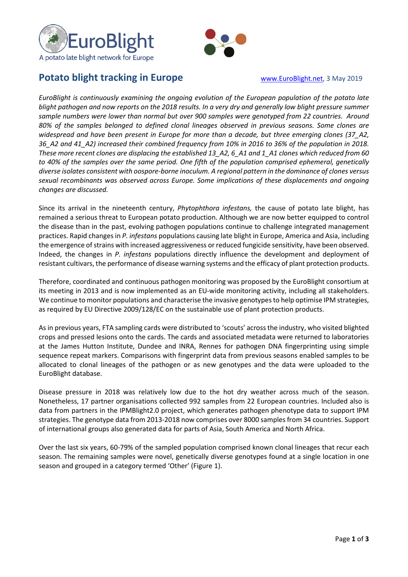



## **Potato blight tracking in Europe** www.**EuroBlight.net, 3 May 2019**

*EuroBlight is continuously examining the ongoing evolution of the European population of the potato late blight pathogen and now reports on the 2018 results. In a very dry and generally low blight pressure summer sample numbers were lower than normal but over 900 samples were genotyped from 22 countries. Around 80% of the samples belonged to defined clonal lineages observed in previous seasons. Some clones are widespread and have been present in Europe for more than a decade, but three emerging clones (37\_A2,*  36\_A2 and 41\_A2) increased their combined frequency from 10% in 2016 to 36% of the population in 2018. *These more recent clones are displacing the established 13\_A2, 6\_A1 and 1\_A1 clones which reduced from 60 to 40% of the samples over the same period. One fifth of the population comprised ephemeral, genetically diverse isolates consistent with oospore-borne inoculum. A regional pattern in the dominance of clones versus sexual recombinants was observed across Europe. Some implications of these displacements and ongoing changes are discussed.*

Since its arrival in the nineteenth century, *Phytophthora infestans,* the cause of potato late blight, has remained a serious threat to European potato production. Although we are now better equipped to control the disease than in the past, evolving pathogen populations continue to challenge integrated management practices. Rapid changes in *P. infestans* populations causing late blight in Europe, America and Asia, including the emergence of strains with increased aggressiveness or reduced fungicide sensitivity, have been observed. Indeed, the changes in *P. infestans* populations directly influence the development and deployment of resistant cultivars, the performance of disease warning systems and the efficacy of plant protection products.

Therefore, coordinated and continuous pathogen monitoring was proposed by the EuroBlight consortium at its meeting in 2013 and is now implemented as an EU-wide monitoring activity, including all stakeholders. We continue to monitor populations and characterise the invasive genotypes to help optimise IPM strategies, as required by EU Directive 2009/128/EC on the sustainable use of plant protection products.

As in previous years, FTA sampling cards were distributed to 'scouts' across the industry, who visited blighted crops and pressed lesions onto the cards. The cards and associated metadata were returned to laboratories at the James Hutton Institute, Dundee and INRA, Rennes for pathogen DNA fingerprinting using simple sequence repeat markers. Comparisons with fingerprint data from previous seasons enabled samples to be allocated to clonal lineages of the pathogen or as new genotypes and the data were uploaded to the EuroBlight database.

Disease pressure in 2018 was relatively low due to the hot dry weather across much of the season. Nonetheless, 17 partner organisations collected 992 samples from 22 European countries. Included also is data from partners in the IPMBlight2.0 project, which generates pathogen phenotype data to support IPM strategies. The genotype data from 2013-2018 now comprises over 8000 samplesfrom 34 countries. Support of international groups also generated data for parts of Asia, South America and North Africa.

Over the last six years, 60-79% of the sampled population comprised known clonal lineages that recur each season. The remaining samples were novel, genetically diverse genotypes found at a single location in one season and grouped in a category termed 'Other' (Figure 1).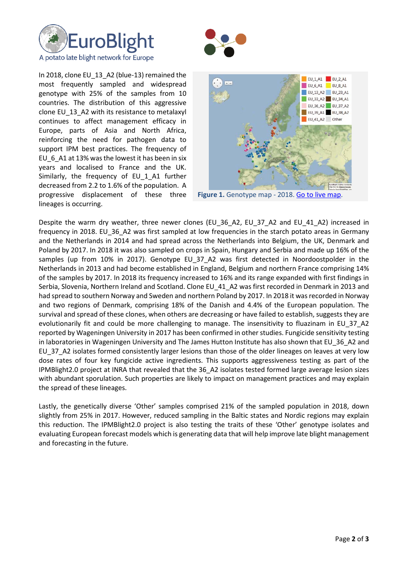



In 2018, clone EU 13 A2 (blue-13) remained the most frequently sampled and widespread genotype with 25% of the samples from 10 countries. The distribution of this aggressive clone EU\_13\_A2 with its resistance to metalaxyl continues to affect management efficacy in Europe, parts of Asia and North Africa, reinforcing the need for pathogen data to support IPM best practices. The frequency of EU\_6\_A1 at 13% was the lowest it has been in six years and localised to France and the UK. Similarly, the frequency of EU 1 A1 further decreased from 2.2 to 1.6% of the population. A progressive displacement of these three lineages is occurring.



**Figure 1.** Genotype map - 2018[. Go to live map.](http://agro.au.dk/forskning/internationale-platforme/euroblight/pathogen-characteristics-and-host-resistance/genotype-map/)

Despite the warm dry weather, three newer clones (EU 36 A2, EU 37 A2 and EU 41 A2) increased in frequency in 2018. EU\_36\_A2 was first sampled at low frequencies in the starch potato areas in Germany and the Netherlands in 2014 and had spread across the Netherlands into Belgium, the UK, Denmark and Poland by 2017. In 2018 it was also sampled on crops in Spain, Hungary and Serbia and made up 16% of the samples (up from 10% in 2017). Genotype EU 37 A2 was first detected in Noordoostpolder in the Netherlands in 2013 and had become established in England, Belgium and northern France comprising 14% of the samples by 2017. In 2018 its frequency increased to 16% and its range expanded with first findings in Serbia, Slovenia, Northern Ireland and Scotland. Clone EU\_41\_A2 was first recorded in Denmark in 2013 and had spread to southern Norway and Sweden and northern Poland by 2017. In 2018 it was recorded in Norway and two regions of Denmark, comprising 18% of the Danish and 4.4% of the European population. The survival and spread of these clones, when others are decreasing or have failed to establish, suggests they are evolutionarily fit and could be more challenging to manage. The insensitivity to fluazinam in EU\_37\_A2 reported by Wageningen University in 2017 has been confirmed in other studies. Fungicide sensitivity testing in laboratories in Wageningen University and The James Hutton Institute has also shown that EU\_36\_A2 and EU 37 A2 isolates formed consistently larger lesions than those of the older lineages on leaves at very low dose rates of four key fungicide active ingredients. This supports aggressiveness testing as part of the IPMBlight2.0 project at INRA that revealed that the 36\_A2 isolates tested formed large average lesion sizes with abundant sporulation. Such properties are likely to impact on management practices and may explain the spread of these lineages.

Lastly, the genetically diverse 'Other' samples comprised 21% of the sampled population in 2018, down slightly from 25% in 2017. However, reduced sampling in the Baltic states and Nordic regions may explain this reduction. The IPMBlight2.0 project is also testing the traits of these 'Other' genotype isolates and evaluating European forecast models which is generating data that will help improve late blight management and forecasting in the future.